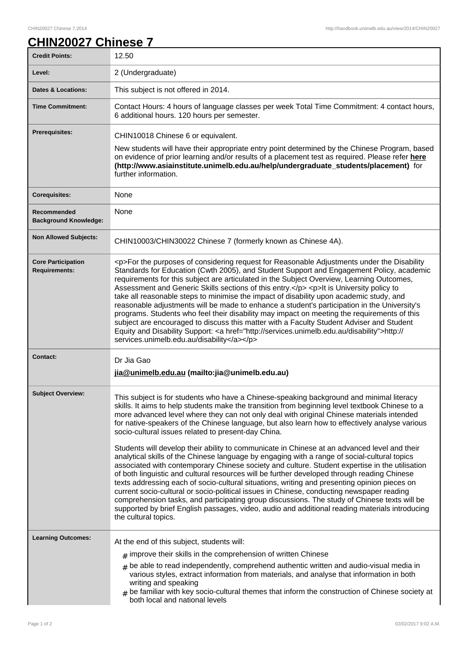## **CHIN20027 Chinese 7**

| <b>Credit Points:</b>                             | 12.50                                                                                                                                                                                                                                                                                                                                                                                                                                                                                                                                                                                                                                                                                                                                                                                                                                                                                                                                                                                                                                                                                                                                                                                                                                                                     |
|---------------------------------------------------|---------------------------------------------------------------------------------------------------------------------------------------------------------------------------------------------------------------------------------------------------------------------------------------------------------------------------------------------------------------------------------------------------------------------------------------------------------------------------------------------------------------------------------------------------------------------------------------------------------------------------------------------------------------------------------------------------------------------------------------------------------------------------------------------------------------------------------------------------------------------------------------------------------------------------------------------------------------------------------------------------------------------------------------------------------------------------------------------------------------------------------------------------------------------------------------------------------------------------------------------------------------------------|
| Level:                                            | 2 (Undergraduate)                                                                                                                                                                                                                                                                                                                                                                                                                                                                                                                                                                                                                                                                                                                                                                                                                                                                                                                                                                                                                                                                                                                                                                                                                                                         |
| <b>Dates &amp; Locations:</b>                     | This subject is not offered in 2014.                                                                                                                                                                                                                                                                                                                                                                                                                                                                                                                                                                                                                                                                                                                                                                                                                                                                                                                                                                                                                                                                                                                                                                                                                                      |
| <b>Time Commitment:</b>                           | Contact Hours: 4 hours of language classes per week Total Time Commitment: 4 contact hours,<br>6 additional hours. 120 hours per semester.                                                                                                                                                                                                                                                                                                                                                                                                                                                                                                                                                                                                                                                                                                                                                                                                                                                                                                                                                                                                                                                                                                                                |
| <b>Prerequisites:</b>                             | CHIN10018 Chinese 6 or equivalent.<br>New students will have their appropriate entry point determined by the Chinese Program, based<br>on evidence of prior learning and/or results of a placement test as required. Please refer here<br>(http://www.asiainstitute.unimelb.edu.au/help/undergraduate_students/placement) for<br>further information.                                                                                                                                                                                                                                                                                                                                                                                                                                                                                                                                                                                                                                                                                                                                                                                                                                                                                                                     |
| <b>Corequisites:</b>                              | None                                                                                                                                                                                                                                                                                                                                                                                                                                                                                                                                                                                                                                                                                                                                                                                                                                                                                                                                                                                                                                                                                                                                                                                                                                                                      |
| Recommended<br><b>Background Knowledge:</b>       | None                                                                                                                                                                                                                                                                                                                                                                                                                                                                                                                                                                                                                                                                                                                                                                                                                                                                                                                                                                                                                                                                                                                                                                                                                                                                      |
| <b>Non Allowed Subjects:</b>                      | CHIN10003/CHIN30022 Chinese 7 (formerly known as Chinese 4A).                                                                                                                                                                                                                                                                                                                                                                                                                                                                                                                                                                                                                                                                                                                                                                                                                                                                                                                                                                                                                                                                                                                                                                                                             |
| <b>Core Participation</b><br><b>Requirements:</b> | <p>For the purposes of considering request for Reasonable Adjustments under the Disability<br/>Standards for Education (Cwth 2005), and Student Support and Engagement Policy, academic<br/>requirements for this subject are articulated in the Subject Overview, Learning Outcomes,<br/>Assessment and Generic Skills sections of this entry.</p> <p>lt is University policy to<br/>take all reasonable steps to minimise the impact of disability upon academic study, and<br/>reasonable adjustments will be made to enhance a student's participation in the University's<br/>programs. Students who feel their disability may impact on meeting the requirements of this<br/>subject are encouraged to discuss this matter with a Faculty Student Adviser and Student<br/>Equity and Disability Support: &lt; a href="http://services.unimelb.edu.au/disability"&gt;http://<br/>services.unimelb.edu.au/disability</p>                                                                                                                                                                                                                                                                                                                                              |
| <b>Contact:</b>                                   | Dr Jia Gao<br>jia@unimelb.edu.au (mailto: jia@unimelb.edu.au)                                                                                                                                                                                                                                                                                                                                                                                                                                                                                                                                                                                                                                                                                                                                                                                                                                                                                                                                                                                                                                                                                                                                                                                                             |
| <b>Subject Overview:</b>                          | This subject is for students who have a Chinese-speaking background and minimal literacy<br>skills. It aims to help students make the transition from beginning level textbook Chinese to a<br>more advanced level where they can not only deal with original Chinese materials intended<br>for native-speakers of the Chinese language, but also learn how to effectively analyse various<br>socio-cultural issues related to present-day China.<br>Students will develop their ability to communicate in Chinese at an advanced level and their<br>analytical skills of the Chinese language by engaging with a range of social-cultural topics<br>associated with contemporary Chinese society and culture. Student expertise in the utilisation<br>of both linguistic and cultural resources will be further developed through reading Chinese<br>texts addressing each of socio-cultural situations, writing and presenting opinion pieces on<br>current socio-cultural or socio-political issues in Chinese, conducting newspaper reading<br>comprehension tasks, and participating group discussions. The study of Chinese texts will be<br>supported by brief English passages, video, audio and additional reading materials introducing<br>the cultural topics. |
| <b>Learning Outcomes:</b>                         | At the end of this subject, students will:<br>$#$ improve their skills in the comprehension of written Chinese<br>$#$ be able to read independently, comprehend authentic written and audio-visual media in<br>various styles, extract information from materials, and analyse that information in both<br>writing and speaking<br>$#$ be familiar with key socio-cultural themes that inform the construction of Chinese society at<br>both local and national levels                                                                                                                                                                                                                                                                                                                                                                                                                                                                                                                                                                                                                                                                                                                                                                                                    |